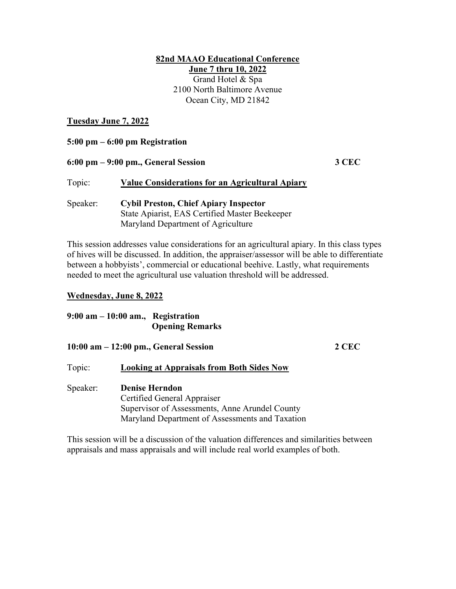### 82nd MAAO Educational Conference June 7 thru 10, 2022

Grand Hotel & Spa 2100 North Baltimore Avenue Ocean City, MD 21842

### Tuesday June 7, 2022

| 5:00 pm – 6:00 pm Registration |                                                                                                                                      |       |  |  |
|--------------------------------|--------------------------------------------------------------------------------------------------------------------------------------|-------|--|--|
|                                | 6:00 pm – 9:00 pm., General Session                                                                                                  | 3 CEC |  |  |
| Topic:                         | <b>Value Considerations for an Agricultural Apiary</b>                                                                               |       |  |  |
| Speaker:                       | <b>Cybil Preston, Chief Apiary Inspector</b><br>State Apiarist, EAS Certified Master Beekeeper<br>Maryland Department of Agriculture |       |  |  |

This session addresses value considerations for an agricultural apiary. In this class types of hives will be discussed. In addition, the appraiser/assessor will be able to differentiate between a hobbyists', commercial or educational beehive. Lastly, what requirements needed to meet the agricultural use valuation threshold will be addressed.

### Wednesday, June 8, 2022

### 9:00 am – 10:00 am., Registration Opening Remarks

### 10:00 am – 12:00 pm., General Session 2 CEC

### Topic: Looking at Appraisals from Both Sides Now

## Speaker: Denise Herndon Certified General Appraiser Supervisor of Assessments, Anne Arundel County Maryland Department of Assessments and Taxation

This session will be a discussion of the valuation differences and similarities between appraisals and mass appraisals and will include real world examples of both.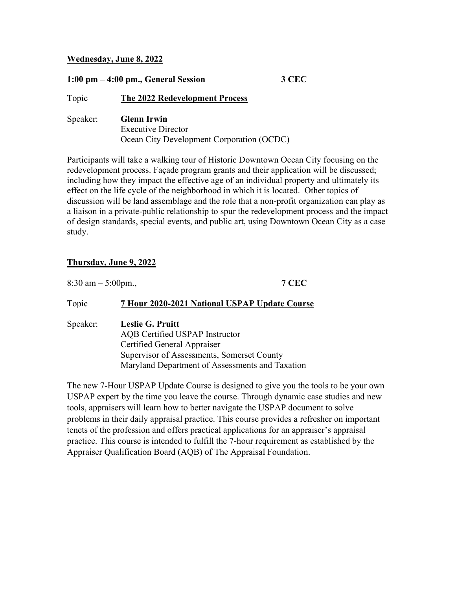### Wednesday, June 8, 2022

# 1:00 pm – 4:00 pm., General Session 3 CEC Topic The 2022 Redevelopment Process Speaker: Glenn Irwin Executive Director Ocean City Development Corporation (OCDC)

Participants will take a walking tour of Historic Downtown Ocean City focusing on the redevelopment process. Façade program grants and their application will be discussed; including how they impact the effective age of an individual property and ultimately its effect on the life cycle of the neighborhood in which it is located. Other topics of discussion will be land assemblage and the role that a non-profit organization can play as a liaison in a private-public relationship to spur the redevelopment process and the impact of design standards, special events, and public art, using Downtown Ocean City as a case study.

## Thursday, June 9, 2022

| $8:30 \text{ am} - 5:00 \text{ pm}$ . | <b>7 CEC</b>                                                                                                                                                                              |  |  |
|---------------------------------------|-------------------------------------------------------------------------------------------------------------------------------------------------------------------------------------------|--|--|
| Topic                                 | 7 Hour 2020-2021 National USPAP Update Course                                                                                                                                             |  |  |
| Speaker:                              | <b>Leslie G. Pruitt</b><br>AQB Certified USPAP Instructor<br>Certified General Appraiser<br>Supervisor of Assessments, Somerset County<br>Maryland Department of Assessments and Taxation |  |  |

The new 7-Hour USPAP Update Course is designed to give you the tools to be your own USPAP expert by the time you leave the course. Through dynamic case studies and new tools, appraisers will learn how to better navigate the USPAP document to solve problems in their daily appraisal practice. This course provides a refresher on important tenets of the profession and offers practical applications for an appraiser's appraisal practice. This course is intended to fulfill the 7-hour requirement as established by the Appraiser Qualification Board (AQB) of The Appraisal Foundation.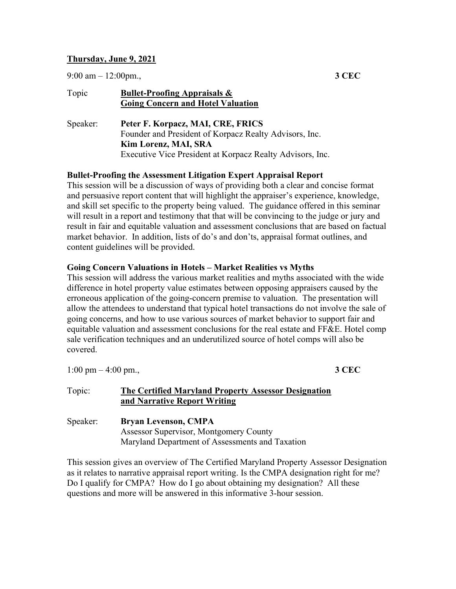### Thursday, June 9, 2021

9:00 am  $-12:00$ pm., 3 CEC

| Topic    | <b>Bullet-Proofing Appraisals &amp;</b><br><b>Going Concern and Hotel Valuation</b> |  |
|----------|-------------------------------------------------------------------------------------|--|
| Speaker: | Peter F. Korpacz, MAI, CRE, FRICS                                                   |  |
|          | Founder and President of Korpacz Realty Advisors, Inc.                              |  |
|          | Kim Lorenz, MAI, SRA                                                                |  |
|          | Executive Vice President at Korpacz Realty Advisors, Inc.                           |  |

### Bullet-Proofing the Assessment Litigation Expert Appraisal Report

This session will be a discussion of ways of providing both a clear and concise format and persuasive report content that will highlight the appraiser's experience, knowledge, and skill set specific to the property being valued. The guidance offered in this seminar will result in a report and testimony that that will be convincing to the judge or jury and result in fair and equitable valuation and assessment conclusions that are based on factual market behavior. In addition, lists of do's and don'ts, appraisal format outlines, and content guidelines will be provided.

### Going Concern Valuations in Hotels – Market Realities vs Myths

This session will address the various market realities and myths associated with the wide difference in hotel property value estimates between opposing appraisers caused by the erroneous application of the going-concern premise to valuation. The presentation will allow the attendees to understand that typical hotel transactions do not involve the sale of going concerns, and how to use various sources of market behavior to support fair and equitable valuation and assessment conclusions for the real estate and FF&E. Hotel comp sale verification techniques and an underutilized source of hotel comps will also be covered.

1:00 pm – 4:00 pm.,  $3 \text{ CEC}$ 

# Topic: The Certified Maryland Property Assessor Designation and Narrative Report Writing

Speaker: Bryan Levenson, CMPA Assessor Supervisor, Montgomery County Maryland Department of Assessments and Taxation

This session gives an overview of The Certified Maryland Property Assessor Designation as it relates to narrative appraisal report writing. Is the CMPA designation right for me? Do I qualify for CMPA? How do I go about obtaining my designation? All these questions and more will be answered in this informative 3-hour session.